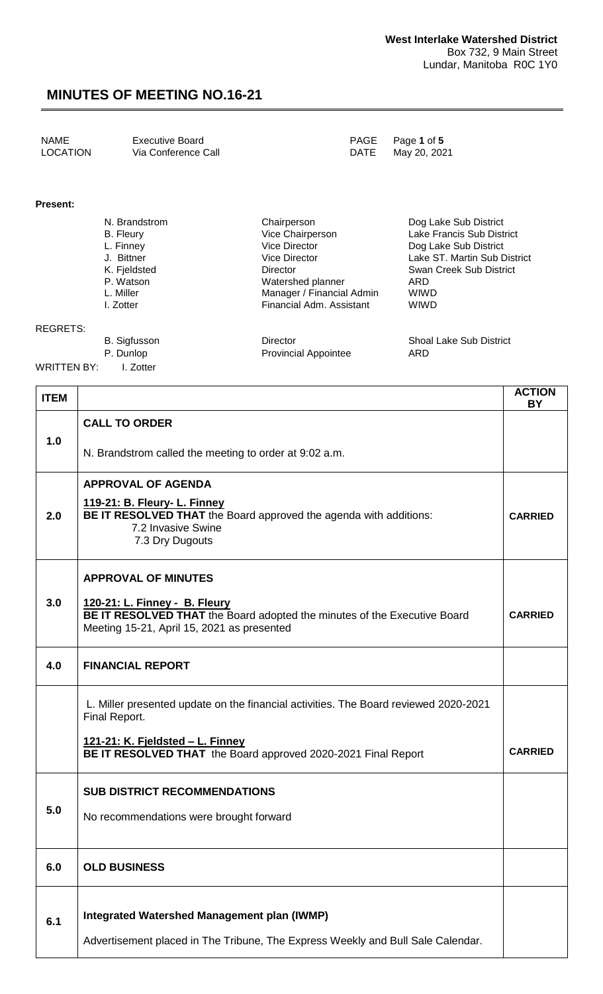| NAME     | Executive Board     | PAGE Page 1 of 5  |
|----------|---------------------|-------------------|
| LOCATION | Via Conference Call | DATE May 20, 2021 |

#### **Present:**

| N. Brandstrom    | Chairperson               | Dog Lake Sub District          |
|------------------|---------------------------|--------------------------------|
| <b>B.</b> Fleury | Vice Chairperson          | Lake Francis Sub District      |
| L. Finney        | Vice Director             | Dog Lake Sub District          |
| J. Bittner       | Vice Director             | Lake ST. Martin Sub District   |
| K. Fjeldsted     | Director                  | Swan Creek Sub District        |
| P. Watson        | Watershed planner         | ARD                            |
| L. Miller        | Manager / Financial Admin | <b>WIWD</b>                    |
| I. Zotter        | Financial Adm. Assistant  | <b>WIWD</b>                    |
|                  |                           |                                |
| B. Sigfusson     | Director                  | <b>Shoal Lake Sub District</b> |

#### P. Dunlop **Provincial Appointee** ARD

REGRETS:

WRITTEN BY: I. Zotter

| <b>ITEM</b> |                                                                                                                                                                                       | <b>ACTION</b><br><b>BY</b> |
|-------------|---------------------------------------------------------------------------------------------------------------------------------------------------------------------------------------|----------------------------|
| 1.0         | <b>CALL TO ORDER</b>                                                                                                                                                                  |                            |
|             | N. Brandstrom called the meeting to order at 9:02 a.m.                                                                                                                                |                            |
| 2.0         | <b>APPROVAL OF AGENDA</b><br>119-21: B. Fleury- L. Finney<br>BE IT RESOLVED THAT the Board approved the agenda with additions:<br>7.2 Invasive Swine<br>7.3 Dry Dugouts               | <b>CARRIED</b>             |
| 3.0         | <b>APPROVAL OF MINUTES</b><br>120-21: L. Finney - B. Fleury<br>BE IT RESOLVED THAT the Board adopted the minutes of the Executive Board<br>Meeting 15-21, April 15, 2021 as presented | <b>CARRIED</b>             |
| 4.0         | <b>FINANCIAL REPORT</b>                                                                                                                                                               |                            |
|             | L. Miller presented update on the financial activities. The Board reviewed 2020-2021<br>Final Report.                                                                                 |                            |
|             | <u> 121-21: K. Fjeldsted – L. Finney</u><br>BE IT RESOLVED THAT the Board approved 2020-2021 Final Report                                                                             | <b>CARRIED</b>             |
| 5.0         | <b>SUB DISTRICT RECOMMENDATIONS</b><br>No recommendations were brought forward                                                                                                        |                            |
| 6.0         | <b>OLD BUSINESS</b>                                                                                                                                                                   |                            |
| 6.1         | Integrated Watershed Management plan (IWMP)<br>Advertisement placed in The Tribune, The Express Weekly and Bull Sale Calendar.                                                        |                            |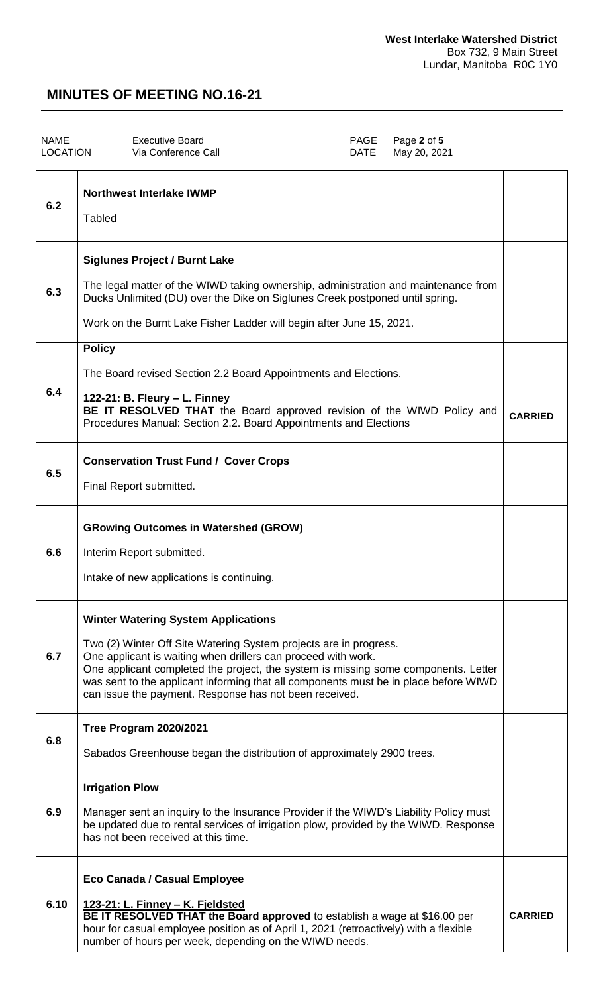| <b>NAME</b><br><b>LOCATION</b> | <b>Executive Board</b><br>Via Conference Call                                                                                                                                                                                                                                                                                                                                                                            | <b>PAGE</b><br><b>DATE</b> | Page 2 of 5<br>May 20, 2021 |                |
|--------------------------------|--------------------------------------------------------------------------------------------------------------------------------------------------------------------------------------------------------------------------------------------------------------------------------------------------------------------------------------------------------------------------------------------------------------------------|----------------------------|-----------------------------|----------------|
| 6.2                            | <b>Northwest Interlake IWMP</b><br>Tabled                                                                                                                                                                                                                                                                                                                                                                                |                            |                             |                |
| 6.3                            | <b>Siglunes Project / Burnt Lake</b><br>The legal matter of the WIWD taking ownership, administration and maintenance from<br>Ducks Unlimited (DU) over the Dike on Siglunes Creek postponed until spring.<br>Work on the Burnt Lake Fisher Ladder will begin after June 15, 2021.                                                                                                                                       |                            |                             |                |
| 6.4                            | <b>Policy</b><br>The Board revised Section 2.2 Board Appointments and Elections.<br><u> 122-21: B. Fleury – L. Finney</u><br>BE IT RESOLVED THAT the Board approved revision of the WIWD Policy and<br>Procedures Manual: Section 2.2. Board Appointments and Elections                                                                                                                                                  |                            |                             | <b>CARRIED</b> |
| 6.5                            | <b>Conservation Trust Fund / Cover Crops</b><br>Final Report submitted.                                                                                                                                                                                                                                                                                                                                                  |                            |                             |                |
| 6.6                            | <b>GRowing Outcomes in Watershed (GROW)</b><br>Interim Report submitted.<br>Intake of new applications is continuing.                                                                                                                                                                                                                                                                                                    |                            |                             |                |
| 6.7                            | <b>Winter Watering System Applications</b><br>Two (2) Winter Off Site Watering System projects are in progress.<br>One applicant is waiting when drillers can proceed with work.<br>One applicant completed the project, the system is missing some components. Letter<br>was sent to the applicant informing that all components must be in place before WIWD<br>can issue the payment. Response has not been received. |                            |                             |                |
| 6.8                            | Tree Program 2020/2021<br>Sabados Greenhouse began the distribution of approximately 2900 trees.                                                                                                                                                                                                                                                                                                                         |                            |                             |                |
| 6.9                            | <b>Irrigation Plow</b><br>Manager sent an inquiry to the Insurance Provider if the WIWD's Liability Policy must<br>be updated due to rental services of irrigation plow, provided by the WIWD. Response<br>has not been received at this time.                                                                                                                                                                           |                            |                             |                |
| 6.10                           | Eco Canada / Casual Employee<br>123-21: L. Finney - K. Fjeldsted<br>BE IT RESOLVED THAT the Board approved to establish a wage at \$16.00 per<br>hour for casual employee position as of April 1, 2021 (retroactively) with a flexible<br>number of hours per week, depending on the WIWD needs.                                                                                                                         |                            |                             | <b>CARRIED</b> |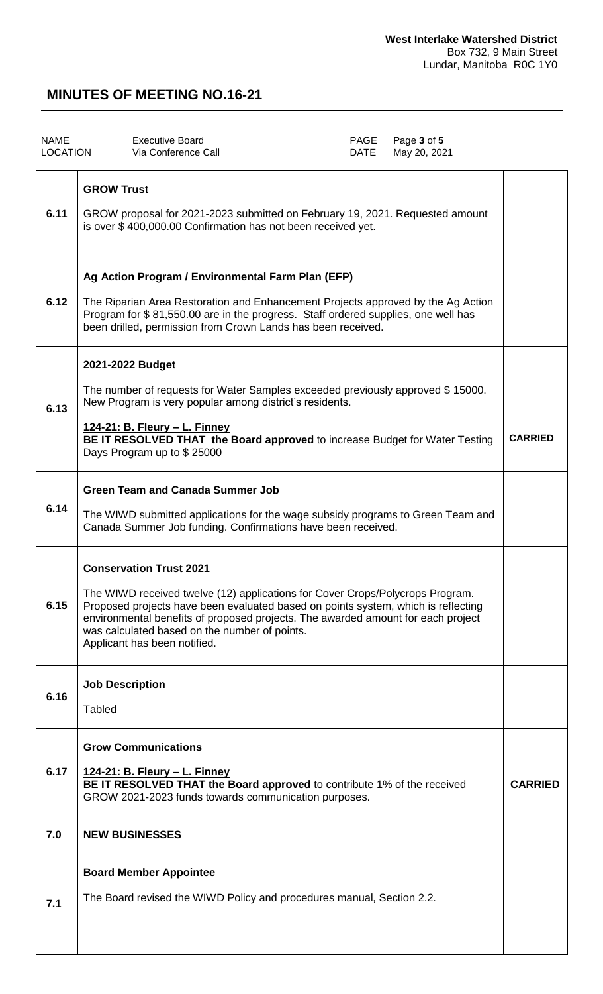| <b>NAME</b><br><b>LOCATION</b> | <b>Executive Board</b><br>Via Conference Call                                                                                                                                                                                                                                                                                                                             | PAGE<br>DATE | Page 3 of 5<br>May 20, 2021 |                |
|--------------------------------|---------------------------------------------------------------------------------------------------------------------------------------------------------------------------------------------------------------------------------------------------------------------------------------------------------------------------------------------------------------------------|--------------|-----------------------------|----------------|
| 6.11                           | <b>GROW Trust</b><br>GROW proposal for 2021-2023 submitted on February 19, 2021. Requested amount<br>is over \$400,000.00 Confirmation has not been received yet.                                                                                                                                                                                                         |              |                             |                |
| 6.12                           | Ag Action Program / Environmental Farm Plan (EFP)<br>The Riparian Area Restoration and Enhancement Projects approved by the Ag Action<br>Program for \$81,550.00 are in the progress. Staff ordered supplies, one well has<br>been drilled, permission from Crown Lands has been received.                                                                                |              |                             |                |
| 6.13                           | 2021-2022 Budget<br>The number of requests for Water Samples exceeded previously approved \$15000.<br>New Program is very popular among district's residents.<br><u> 124-21: B. Fleury – L. Finney</u><br>BE IT RESOLVED THAT the Board approved to increase Budget for Water Testing<br>Days Program up to \$25000                                                       |              |                             | <b>CARRIED</b> |
| 6.14                           | <b>Green Team and Canada Summer Job</b><br>The WIWD submitted applications for the wage subsidy programs to Green Team and<br>Canada Summer Job funding. Confirmations have been received.                                                                                                                                                                                |              |                             |                |
| 6.15                           | <b>Conservation Trust 2021</b><br>The WIWD received twelve (12) applications for Cover Crops/Polycrops Program.<br>Proposed projects have been evaluated based on points system, which is reflecting<br>environmental benefits of proposed projects. The awarded amount for each project<br>was calculated based on the number of points.<br>Applicant has been notified. |              |                             |                |
| 6.16                           | <b>Job Description</b><br><b>Tabled</b>                                                                                                                                                                                                                                                                                                                                   |              |                             |                |
| 6.17                           | <b>Grow Communications</b><br>124-21: B. Fleury - L. Finney<br>BE IT RESOLVED THAT the Board approved to contribute 1% of the received<br>GROW 2021-2023 funds towards communication purposes.                                                                                                                                                                            |              |                             | <b>CARRIED</b> |
| 7.0                            | <b>NEW BUSINESSES</b>                                                                                                                                                                                                                                                                                                                                                     |              |                             |                |
| 7.1                            | <b>Board Member Appointee</b><br>The Board revised the WIWD Policy and procedures manual, Section 2.2.                                                                                                                                                                                                                                                                    |              |                             |                |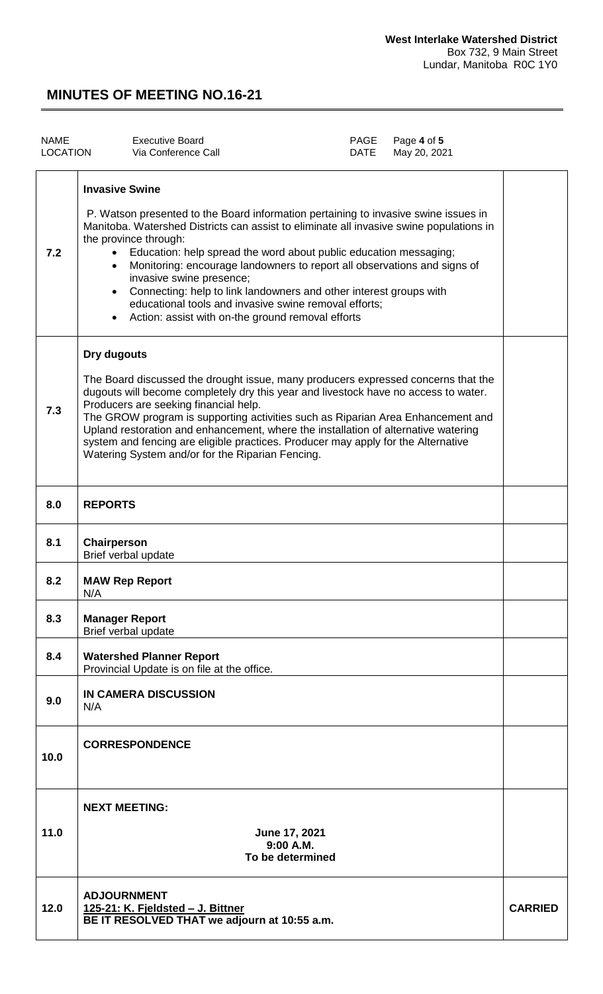| <b>NAME</b><br>LOCATION |                       | <b>Executive Board</b><br>Via Conference Call                                                                                                                                                                                                                                                                                                                                                                                                                                                                                                                            | PAGE<br>DATE | Page 4 of 5<br>May 20, 2021 |                |
|-------------------------|-----------------------|--------------------------------------------------------------------------------------------------------------------------------------------------------------------------------------------------------------------------------------------------------------------------------------------------------------------------------------------------------------------------------------------------------------------------------------------------------------------------------------------------------------------------------------------------------------------------|--------------|-----------------------------|----------------|
| 7.2                     | <b>Invasive Swine</b> | P. Watson presented to the Board information pertaining to invasive swine issues in<br>Manitoba. Watershed Districts can assist to eliminate all invasive swine populations in<br>the province through:<br>Education: help spread the word about public education messaging;<br>Monitoring: encourage landowners to report all observations and signs of<br>invasive swine presence;<br>Connecting: help to link landowners and other interest groups with<br>educational tools and invasive swine removal efforts;<br>Action: assist with on-the ground removal efforts |              |                             |                |
| 7.3                     | Dry dugouts           | The Board discussed the drought issue, many producers expressed concerns that the<br>dugouts will become completely dry this year and livestock have no access to water.<br>Producers are seeking financial help.<br>The GROW program is supporting activities such as Riparian Area Enhancement and<br>Upland restoration and enhancement, where the installation of alternative watering<br>system and fencing are eligible practices. Producer may apply for the Alternative<br>Watering System and/or for the Riparian Fencing.                                      |              |                             |                |
| 8.0                     | <b>REPORTS</b>        |                                                                                                                                                                                                                                                                                                                                                                                                                                                                                                                                                                          |              |                             |                |
| 8.1                     | Chairperson           | Brief verbal update                                                                                                                                                                                                                                                                                                                                                                                                                                                                                                                                                      |              |                             |                |
| 8.2                     | N/A                   | <b>MAW Rep Report</b>                                                                                                                                                                                                                                                                                                                                                                                                                                                                                                                                                    |              |                             |                |
| 8.3                     | <b>Manager Report</b> | Brief verbal update                                                                                                                                                                                                                                                                                                                                                                                                                                                                                                                                                      |              |                             |                |
| 8.4                     |                       | <b>Watershed Planner Report</b><br>Provincial Update is on file at the office.                                                                                                                                                                                                                                                                                                                                                                                                                                                                                           |              |                             |                |
| 9.0                     | N/A                   | IN CAMERA DISCUSSION                                                                                                                                                                                                                                                                                                                                                                                                                                                                                                                                                     |              |                             |                |
| 10.0                    |                       | <b>CORRESPONDENCE</b>                                                                                                                                                                                                                                                                                                                                                                                                                                                                                                                                                    |              |                             |                |
| 11.0                    | <b>NEXT MEETING:</b>  | June 17, 2021<br>$9:00$ A.M.<br>To be determined                                                                                                                                                                                                                                                                                                                                                                                                                                                                                                                         |              |                             |                |
| 12.0                    | <b>ADJOURNMENT</b>    | 125-21: K. Fjeldsted - J. Bittner<br>BE IT RESOLVED THAT we adjourn at 10:55 a.m.                                                                                                                                                                                                                                                                                                                                                                                                                                                                                        |              |                             | <b>CARRIED</b> |